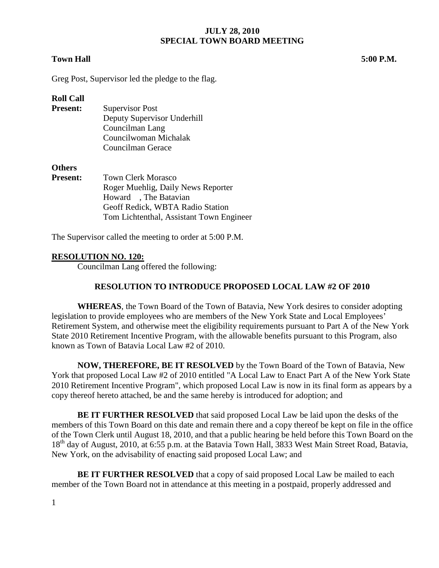#### **Town Hall 5:00 P.M.**

Greg Post, Supervisor led the pledge to the flag.

### **Roll Call**

**Present:** Supervisor Post Deputy Supervisor Underhill Councilman Lang Councilwoman Michalak Councilman Gerace

### **Others**

| <b>Town Clerk Morasco</b>                |
|------------------------------------------|
| Roger Muehlig, Daily News Reporter       |
| Howard, The Batavian                     |
| Geoff Redick, WBTA Radio Station         |
| Tom Lichtenthal, Assistant Town Engineer |
|                                          |

The Supervisor called the meeting to order at 5:00 P.M.

#### **RESOLUTION NO. 120:**

Councilman Lang offered the following:

### **RESOLUTION TO INTRODUCE PROPOSED LOCAL LAW #2 OF 2010**

**WHEREAS**, the Town Board of the Town of Batavia, New York desires to consider adopting legislation to provide employees who are members of the New York State and Local Employees' Retirement System, and otherwise meet the eligibility requirements pursuant to Part A of the New York State 2010 Retirement Incentive Program, with the allowable benefits pursuant to this Program, also known as Town of Batavia Local Law #2 of 2010.

**NOW, THEREFORE, BE IT RESOLVED** by the Town Board of the Town of Batavia, New York that proposed Local Law #2 of 2010 entitled "A Local Law to Enact Part A of the New York State 2010 Retirement Incentive Program", which proposed Local Law is now in its final form as appears by a copy thereof hereto attached, be and the same hereby is introduced for adoption; and

**BE IT FURTHER RESOLVED** that said proposed Local Law be laid upon the desks of the members of this Town Board on this date and remain there and a copy thereof be kept on file in the office of the Town Clerk until August 18, 2010, and that a public hearing be held before this Town Board on the 18<sup>th</sup> day of August, 2010, at 6:55 p.m. at the Batavia Town Hall, 3833 West Main Street Road, Batavia, New York, on the advisability of enacting said proposed Local Law; and

**BE IT FURTHER RESOLVED** that a copy of said proposed Local Law be mailed to each member of the Town Board not in attendance at this meeting in a postpaid, properly addressed and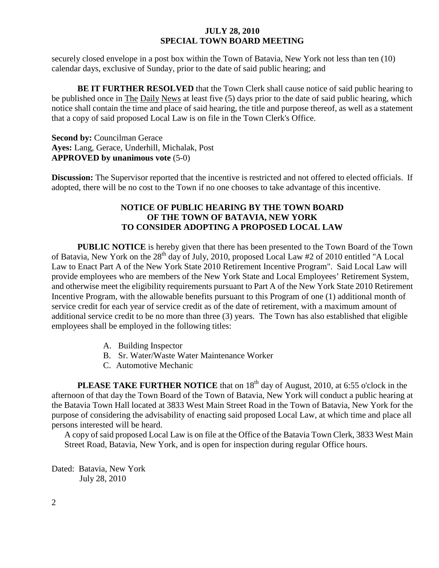securely closed envelope in a post box within the Town of Batavia, New York not less than ten (10) calendar days, exclusive of Sunday, prior to the date of said public hearing; and

**BE IT FURTHER RESOLVED** that the Town Clerk shall cause notice of said public hearing to be published once in The Daily News at least five (5) days prior to the date of said public hearing, which notice shall contain the time and place of said hearing, the title and purpose thereof, as well as a statement that a copy of said proposed Local Law is on file in the Town Clerk's Office.

**Second by:** Councilman Gerace **Ayes:** Lang, Gerace, Underhill, Michalak, Post **APPROVED by unanimous vote** (5-0)

**Discussion:** The Supervisor reported that the incentive is restricted and not offered to elected officials. If adopted, there will be no cost to the Town if no one chooses to take advantage of this incentive.

## **NOTICE OF PUBLIC HEARING BY THE TOWN BOARD OF THE TOWN OF BATAVIA, NEW YORK TO CONSIDER ADOPTING A PROPOSED LOCAL LAW**

**PUBLIC NOTICE** is hereby given that there has been presented to the Town Board of the Town of Batavia, New York on the 28<sup>th</sup> day of July, 2010, proposed Local Law #2 of 2010 entitled "A Local Law to Enact Part A of the New York State 2010 Retirement Incentive Program". Said Local Law will provide employees who are members of the New York State and Local Employees' Retirement System, and otherwise meet the eligibility requirements pursuant to Part A of the New York State 2010 Retirement Incentive Program, with the allowable benefits pursuant to this Program of one (1) additional month of service credit for each year of service credit as of the date of retirement, with a maximum amount of additional service credit to be no more than three (3) years. The Town has also established that eligible employees shall be employed in the following titles:

- A. Building Inspector
- B. Sr. Water/Waste Water Maintenance Worker
- C. Automotive Mechanic

**PLEASE TAKE FURTHER NOTICE** that on 18<sup>th</sup> day of August, 2010, at 6:55 o'clock in the afternoon of that day the Town Board of the Town of Batavia, New York will conduct a public hearing at the Batavia Town Hall located at 3833 West Main Street Road in the Town of Batavia, New York for the purpose of considering the advisability of enacting said proposed Local Law, at which time and place all persons interested will be heard.

A copy of said proposed Local Law is on file at the Office of the Batavia Town Clerk, 3833 West Main Street Road, Batavia, New York, and is open for inspection during regular Office hours.

Dated: Batavia, New York July 28, 2010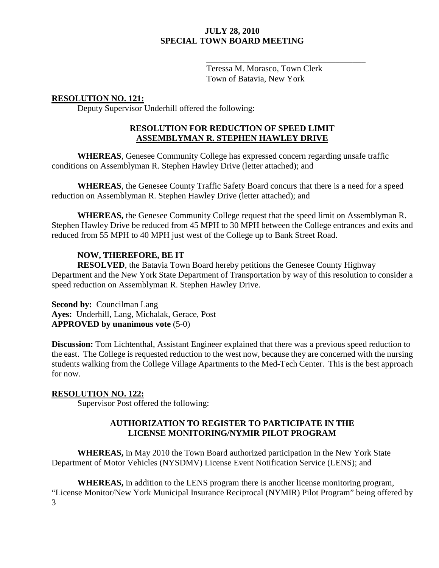Teressa M. Morasco, Town Clerk Town of Batavia, New York

\_\_\_\_\_\_\_\_\_\_\_\_\_\_\_\_\_\_\_\_\_\_\_\_\_\_\_\_\_\_\_\_\_\_\_\_\_

# **RESOLUTION NO. 121:**

Deputy Supervisor Underhill offered the following:

## **RESOLUTION FOR REDUCTION OF SPEED LIMIT ASSEMBLYMAN R. STEPHEN HAWLEY DRIVE**

**WHEREAS**, Genesee Community College has expressed concern regarding unsafe traffic conditions on Assemblyman R. Stephen Hawley Drive (letter attached); and

**WHEREAS**, the Genesee County Traffic Safety Board concurs that there is a need for a speed reduction on Assemblyman R. Stephen Hawley Drive (letter attached); and

**WHEREAS,** the Genesee Community College request that the speed limit on Assemblyman R. Stephen Hawley Drive be reduced from 45 MPH to 30 MPH between the College entrances and exits and reduced from 55 MPH to 40 MPH just west of the College up to Bank Street Road.

## **NOW, THEREFORE, BE IT**

**RESOLVED**, the Batavia Town Board hereby petitions the Genesee County Highway Department and the New York State Department of Transportation by way of this resolution to consider a speed reduction on Assemblyman R. Stephen Hawley Drive.

**Second by: Councilman Lang Ayes:** Underhill, Lang, Michalak, Gerace, Post **APPROVED by unanimous vote** (5-0)

**Discussion:** Tom Lichtenthal, Assistant Engineer explained that there was a previous speed reduction to the east. The College is requested reduction to the west now, because they are concerned with the nursing students walking from the College Village Apartments to the Med-Tech Center. This is the best approach for now.

### **RESOLUTION NO. 122:**

Supervisor Post offered the following:

# **AUTHORIZATION TO REGISTER TO PARTICIPATE IN THE LICENSE MONITORING/NYMIR PILOT PROGRAM**

**WHEREAS,** in May 2010 the Town Board authorized participation in the New York State Department of Motor Vehicles (NYSDMV) License Event Notification Service (LENS); and

3 **WHEREAS,** in addition to the LENS program there is another license monitoring program, "License Monitor/New York Municipal Insurance Reciprocal (NYMIR) Pilot Program" being offered by